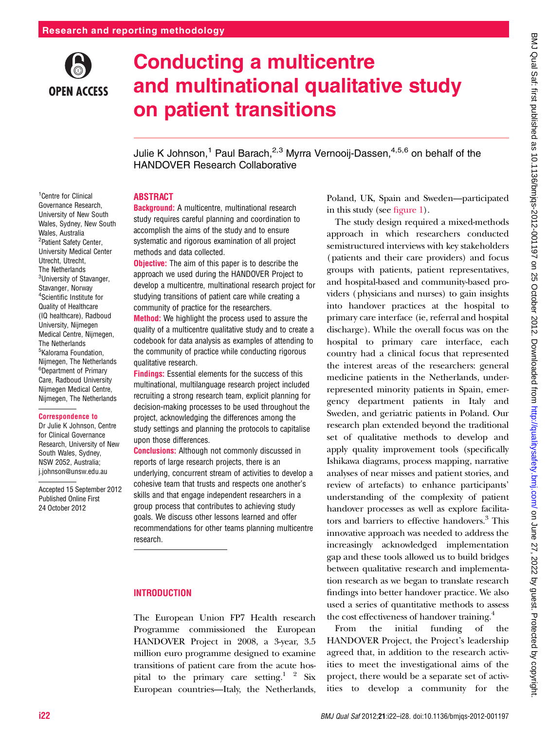

# Conducting a multicentre and multinational qualitative study on patient transitions

Julie K Johnson,<sup>1</sup> Paul Barach,<sup>2,3</sup> Myrra Vernooij-Dassen,<sup>4,5,6</sup> on behalf of the HANDOVER Research Collaborative

# ABSTRACT

1 Centre for Clinical Governance Research, University of New South Wales, Sydney, New South Wales, Australia <sup>2</sup> Patient Safety Center, University Medical Center Utrecht, Utrecht, The Netherlands <sup>3</sup>University of Stavanger, Stavanger, Norway 4 Scientific Institute for Quality of Healthcare (IQ healthcare), Radboud University, Nijmegen Medical Centre, Nijmegen, The Netherlands 5 Kalorama Foundation, Nijmegen, The Netherlands 6 Department of Primary Care, Radboud University Nijmegen Medical Centre, Nijmegen, The Netherlands

#### Correspondence to

Dr Julie K Johnson, Centre for Clinical Governance Research, University of New South Wales, Sydney, NSW 2052, Australia; j.johnson@unsw.edu.au

Accepted 15 September 2012 Published Online First 24 October 2012

Background: A multicentre, multinational research study requires careful planning and coordination to accomplish the aims of the study and to ensure systematic and rigorous examination of all project methods and data collected.

**Objective:** The aim of this paper is to describe the approach we used during the HANDOVER Project to develop a multicentre, multinational research project for studying transitions of patient care while creating a community of practice for the researchers.

**Method:** We highlight the process used to assure the quality of a multicentre qualitative study and to create a codebook for data analysis as examples of attending to the community of practice while conducting rigorous qualitative research.

Findings: Essential elements for the success of this multinational, multilanguage research project included recruiting a strong research team, explicit planning for decision-making processes to be used throughout the project, acknowledging the differences among the study settings and planning the protocols to capitalise upon those differences.

Conclusions: Although not commonly discussed in reports of large research projects, there is an underlying, concurrent stream of activities to develop a cohesive team that trusts and respects one another's skills and that engage independent researchers in a group process that contributes to achieving study goals. We discuss other lessons learned and offer recommendations for other teams planning multicentre research.

## **INTRODUCTION**

The European Union FP7 Health research Programme commissioned the European HANDOVER Project in 2008, a 3-year, 3.5 million euro programme designed to examine transitions of patient care from the acute hospital to the primary care setting.<sup>1</sup> <sup>2</sup> Six European countries—Italy, the Netherlands, Poland, UK, Spain and Sweden—participated in this study (see figure 1).

The study design required a mixed-methods approach in which researchers conducted semistructured interviews with key stakeholders (patients and their care providers) and focus groups with patients, patient representatives, and hospital-based and community-based providers (physicians and nurses) to gain insights into handover practices at the hospital to primary care interface (ie, referral and hospital discharge). While the overall focus was on the hospital to primary care interface, each country had a clinical focus that represented the interest areas of the researchers: general medicine patients in the Netherlands, underrepresented minority patients in Spain, emergency department patients in Italy and Sweden, and geriatric patients in Poland. Our research plan extended beyond the traditional set of qualitative methods to develop and apply quality improvement tools (specifically Ishikawa diagrams, process mapping, narrative analyses of near misses and patient stories, and review of artefacts) to enhance participants' understanding of the complexity of patient handover processes as well as explore facilitators and barriers to effective handovers.<sup>3</sup> This innovative approach was needed to address the increasingly acknowledged implementation gap and these tools allowed us to build bridges between qualitative research and implementation research as we began to translate research findings into better handover practice. We also used a series of quantitative methods to assess the cost effectiveness of handover training.<sup>4</sup>

From the initial funding of the HANDOVER Project, the Project's leadership agreed that, in addition to the research activities to meet the investigational aims of the project, there would be a separate set of activities to develop a community for the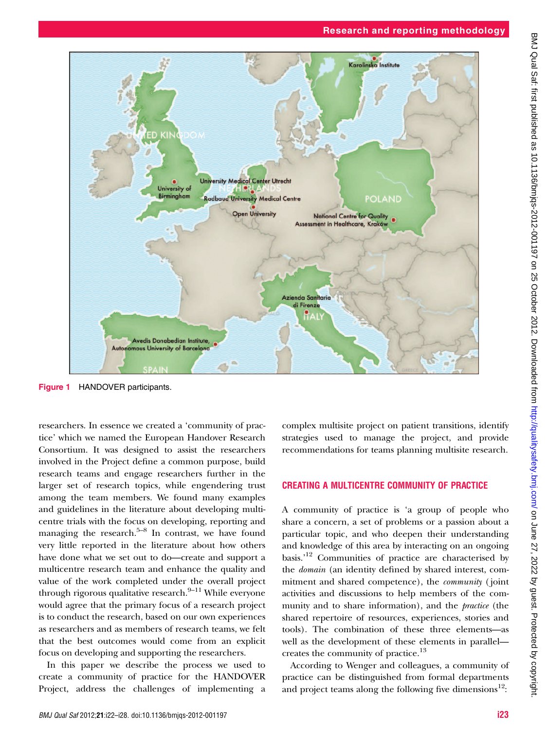

Figure 1 HANDOVER participants.

researchers. In essence we created a 'community of practice' which we named the European Handover Research Consortium. It was designed to assist the researchers involved in the Project define a common purpose, build research teams and engage researchers further in the larger set of research topics, while engendering trust among the team members. We found many examples and guidelines in the literature about developing multicentre trials with the focus on developing, reporting and managing the research. $5-8$  In contrast, we have found very little reported in the literature about how others have done what we set out to do—create and support a multicentre research team and enhance the quality and value of the work completed under the overall project through rigorous qualitative research. $9-11$  While everyone would agree that the primary focus of a research project is to conduct the research, based on our own experiences as researchers and as members of research teams, we felt that the best outcomes would come from an explicit focus on developing and supporting the researchers.

In this paper we describe the process we used to create a community of practice for the HANDOVER Project, address the challenges of implementing a

complex multisite project on patient transitions, identify strategies used to manage the project, and provide recommendations for teams planning multisite research.

## CREATING A MULTICENTRE COMMUNITY OF PRACTICE

A community of practice is 'a group of people who share a concern, a set of problems or a passion about a particular topic, and who deepen their understanding and knowledge of this area by interacting on an ongoing basis.'<sup>12</sup> Communities of practice are characterised by the domain (an identity defined by shared interest, commitment and shared competence), the community ( joint activities and discussions to help members of the community and to share information), and the practice (the shared repertoire of resources, experiences, stories and tools). The combination of these three elements—as well as the development of these elements in parallel creates the community of practice.<sup>13</sup>

According to Wenger and colleagues, a community of practice can be distinguished from formal departments and project teams along the following five dimensions $12$ :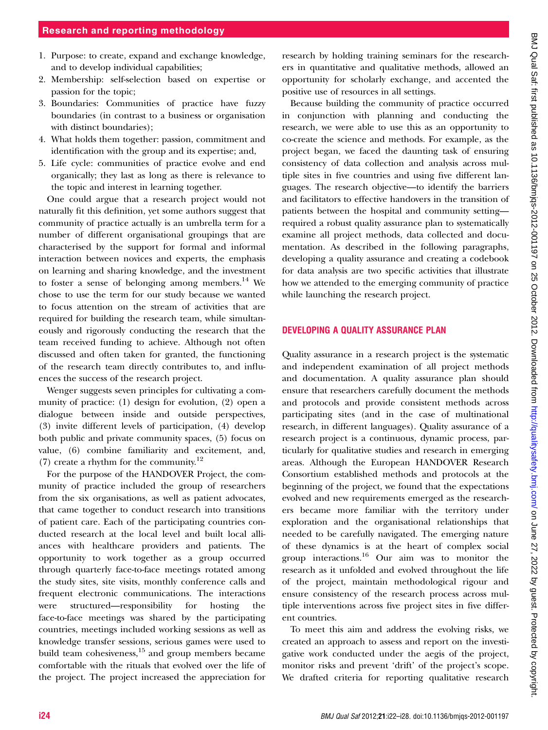- 1. Purpose: to create, expand and exchange knowledge, and to develop individual capabilities;
- 2. Membership: self-selection based on expertise or passion for the topic;
- 3. Boundaries: Communities of practice have fuzzy boundaries (in contrast to a business or organisation with distinct boundaries);
- 4. What holds them together: passion, commitment and identification with the group and its expertise; and,
- 5. Life cycle: communities of practice evolve and end organically; they last as long as there is relevance to the topic and interest in learning together.

One could argue that a research project would not naturally fit this definition, yet some authors suggest that community of practice actually is an umbrella term for a number of different organisational groupings that are characterised by the support for formal and informal interaction between novices and experts, the emphasis on learning and sharing knowledge, and the investment to foster a sense of belonging among members.<sup>14</sup> We chose to use the term for our study because we wanted to focus attention on the stream of activities that are required for building the research team, while simultaneously and rigorously conducting the research that the team received funding to achieve. Although not often discussed and often taken for granted, the functioning of the research team directly contributes to, and influences the success of the research project.

Wenger suggests seven principles for cultivating a community of practice: (1) design for evolution, (2) open a dialogue between inside and outside perspectives, (3) invite different levels of participation, (4) develop both public and private community spaces, (5) focus on value, (6) combine familiarity and excitement, and, (7) create a rhythm for the community.<sup>12</sup>

For the purpose of the HANDOVER Project, the community of practice included the group of researchers from the six organisations, as well as patient advocates, that came together to conduct research into transitions of patient care. Each of the participating countries conducted research at the local level and built local alliances with healthcare providers and patients. The opportunity to work together as a group occurred through quarterly face-to-face meetings rotated among the study sites, site visits, monthly conference calls and frequent electronic communications. The interactions were structured—responsibility for hosting the face-to-face meetings was shared by the participating countries, meetings included working sessions as well as knowledge transfer sessions, serious games were used to build team cohesiveness,<sup>15</sup> and group members became comfortable with the rituals that evolved over the life of the project. The project increased the appreciation for

research by holding training seminars for the researchers in quantitative and qualitative methods, allowed an opportunity for scholarly exchange, and accented the positive use of resources in all settings.

Because building the community of practice occurred in conjunction with planning and conducting the research, we were able to use this as an opportunity to co-create the science and methods. For example, as the project began, we faced the daunting task of ensuring consistency of data collection and analysis across multiple sites in five countries and using five different languages. The research objective—to identify the barriers and facilitators to effective handovers in the transition of patients between the hospital and community setting required a robust quality assurance plan to systematically examine all project methods, data collected and documentation. As described in the following paragraphs, developing a quality assurance and creating a codebook for data analysis are two specific activities that illustrate how we attended to the emerging community of practice while launching the research project.

## DEVELOPING A QUALITY ASSURANCE PLAN

Quality assurance in a research project is the systematic and independent examination of all project methods and documentation. A quality assurance plan should ensure that researchers carefully document the methods and protocols and provide consistent methods across participating sites (and in the case of multinational research, in different languages). Quality assurance of a research project is a continuous, dynamic process, particularly for qualitative studies and research in emerging areas. Although the European HANDOVER Research Consortium established methods and protocols at the beginning of the project, we found that the expectations evolved and new requirements emerged as the researchers became more familiar with the territory under exploration and the organisational relationships that needed to be carefully navigated. The emerging nature of these dynamics is at the heart of complex social group interactions.<sup>16</sup> Our aim was to monitor the research as it unfolded and evolved throughout the life of the project, maintain methodological rigour and ensure consistency of the research process across multiple interventions across five project sites in five different countries.

To meet this aim and address the evolving risks, we created an approach to assess and report on the investigative work conducted under the aegis of the project, monitor risks and prevent 'drift' of the project's scope. We drafted criteria for reporting qualitative research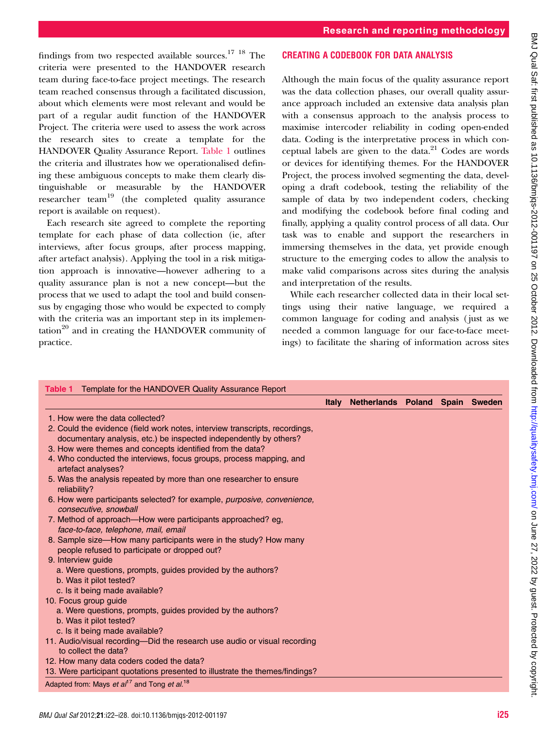findings from two respected available sources.<sup>17 18</sup> The criteria were presented to the HANDOVER research team during face-to-face project meetings. The research team reached consensus through a facilitated discussion, about which elements were most relevant and would be part of a regular audit function of the HANDOVER Project. The criteria were used to assess the work across the research sites to create a template for the HANDOVER Quality Assurance Report. Table 1 outlines the criteria and illustrates how we operationalised defining these ambiguous concepts to make them clearly distinguishable or measurable by the HANDOVER researcher team<sup>19</sup> (the completed quality assurance report is available on request).

Each research site agreed to complete the reporting template for each phase of data collection (ie, after interviews, after focus groups, after process mapping, after artefact analysis). Applying the tool in a risk mitigation approach is innovative—however adhering to a quality assurance plan is not a new concept—but the process that we used to adapt the tool and build consensus by engaging those who would be expected to comply with the criteria was an important step in its implemen- $\text{tation}^{20}$  and in creating the HANDOVER community of practice.

## CREATING A CODEBOOK FOR DATA ANALYSIS

Although the main focus of the quality assurance report was the data collection phases, our overall quality assurance approach included an extensive data analysis plan with a consensus approach to the analysis process to maximise intercoder reliability in coding open-ended data. Coding is the interpretative process in which conceptual labels are given to the data. $21$  Codes are words or devices for identifying themes. For the HANDOVER Project, the process involved segmenting the data, developing a draft codebook, testing the reliability of the sample of data by two independent coders, checking and modifying the codebook before final coding and finally, applying a quality control process of all data. Our task was to enable and support the researchers in immersing themselves in the data, yet provide enough structure to the emerging codes to allow the analysis to make valid comparisons across sites during the analysis and interpretation of the results.

While each researcher collected data in their local settings using their native language, we required a common language for coding and analysis ( just as we needed a common language for our face-to-face meetings) to facilitate the sharing of information across sites

| Table 1                                                              | Template for the HANDOVER Quality Assurance Report                                                                                                                                  |  |                                       |  |  |  |
|----------------------------------------------------------------------|-------------------------------------------------------------------------------------------------------------------------------------------------------------------------------------|--|---------------------------------------|--|--|--|
|                                                                      |                                                                                                                                                                                     |  | Italy Netherlands Poland Spain Sweden |  |  |  |
|                                                                      | 1. How were the data collected?<br>2. Could the evidence (field work notes, interview transcripts, recordings,<br>documentary analysis, etc.) be inspected independently by others? |  |                                       |  |  |  |
| 3. How were themes and concepts identified from the data?            |                                                                                                                                                                                     |  |                                       |  |  |  |
|                                                                      | 4. Who conducted the interviews, focus groups, process mapping, and<br>artefact analyses?                                                                                           |  |                                       |  |  |  |
| reliability?                                                         | 5. Was the analysis repeated by more than one researcher to ensure                                                                                                                  |  |                                       |  |  |  |
|                                                                      | 6. How were participants selected? for example, purposive, convenience,<br>consecutive, snowball                                                                                    |  |                                       |  |  |  |
|                                                                      | 7. Method of approach-How were participants approached? eg,<br>face-to-face, telephone, mail, email                                                                                 |  |                                       |  |  |  |
|                                                                      | 8. Sample size-How many participants were in the study? How many<br>people refused to participate or dropped out?                                                                   |  |                                       |  |  |  |
|                                                                      | 9. Interview guide                                                                                                                                                                  |  |                                       |  |  |  |
|                                                                      | a. Were questions, prompts, guides provided by the authors?<br>b. Was it pilot tested?                                                                                              |  |                                       |  |  |  |
|                                                                      | c. Is it being made available?<br>10. Focus group guide                                                                                                                             |  |                                       |  |  |  |
|                                                                      | a. Were questions, prompts, guides provided by the authors?                                                                                                                         |  |                                       |  |  |  |
|                                                                      | b. Was it pilot tested?                                                                                                                                                             |  |                                       |  |  |  |
|                                                                      | c. Is it being made available?                                                                                                                                                      |  |                                       |  |  |  |
|                                                                      | 11. Audio/visual recording-Did the research use audio or visual recording<br>to collect the data?                                                                                   |  |                                       |  |  |  |
|                                                                      | 12. How many data coders coded the data?                                                                                                                                            |  |                                       |  |  |  |
|                                                                      | 13. Were participant quotations presented to illustrate the themes/findings?                                                                                                        |  |                                       |  |  |  |
| Adapted from: Mays et al <sup>17</sup> and Tong et al. <sup>18</sup> |                                                                                                                                                                                     |  |                                       |  |  |  |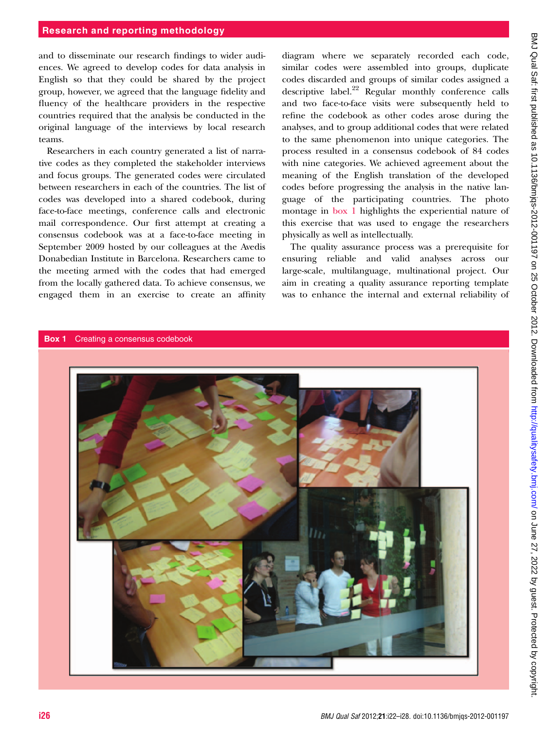and to disseminate our research findings to wider audiences. We agreed to develop codes for data analysis in English so that they could be shared by the project group, however, we agreed that the language fidelity and fluency of the healthcare providers in the respective countries required that the analysis be conducted in the original language of the interviews by local research teams.

Researchers in each country generated a list of narrative codes as they completed the stakeholder interviews and focus groups. The generated codes were circulated between researchers in each of the countries. The list of codes was developed into a shared codebook, during face-to-face meetings, conference calls and electronic mail correspondence. Our first attempt at creating a consensus codebook was at a face-to-face meeting in September 2009 hosted by our colleagues at the Avedis Donabedian Institute in Barcelona. Researchers came to the meeting armed with the codes that had emerged from the locally gathered data. To achieve consensus, we engaged them in an exercise to create an affinity

diagram where we separately recorded each code, similar codes were assembled into groups, duplicate codes discarded and groups of similar codes assigned a descriptive label.<sup>22</sup> Regular monthly conference calls and two face-to-face visits were subsequently held to refine the codebook as other codes arose during the analyses, and to group additional codes that were related to the same phenomenon into unique categories. The process resulted in a consensus codebook of 84 codes with nine categories. We achieved agreement about the meaning of the English translation of the developed codes before progressing the analysis in the native language of the participating countries. The photo montage in box 1 highlights the experiential nature of this exercise that was used to engage the researchers physically as well as intellectually.

The quality assurance process was a prerequisite for ensuring reliable and valid analyses across our large-scale, multilanguage, multinational project. Our aim in creating a quality assurance reporting template was to enhance the internal and external reliability of

# **Box 1** Creating a consensus codebook

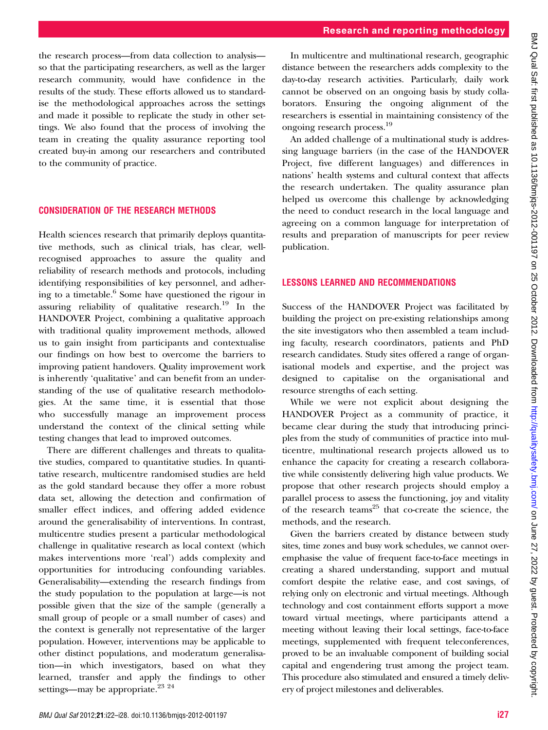the research process—from data collection to analysis so that the participating researchers, as well as the larger research community, would have confidence in the results of the study. These efforts allowed us to standardise the methodological approaches across the settings and made it possible to replicate the study in other settings. We also found that the process of involving the team in creating the quality assurance reporting tool created buy-in among our researchers and contributed to the community of practice.

## CONSIDERATION OF THE RESEARCH METHODS

Health sciences research that primarily deploys quantitative methods, such as clinical trials, has clear, wellrecognised approaches to assure the quality and reliability of research methods and protocols, including identifying responsibilities of key personnel, and adhering to a timetable. $6$  Some have questioned the rigour in assuring reliability of qualitative research.<sup>19</sup> In the HANDOVER Project, combining a qualitative approach with traditional quality improvement methods, allowed us to gain insight from participants and contextualise our findings on how best to overcome the barriers to improving patient handovers. Quality improvement work is inherently 'qualitative' and can benefit from an understanding of the use of qualitative research methodologies. At the same time, it is essential that those who successfully manage an improvement process understand the context of the clinical setting while testing changes that lead to improved outcomes.

There are different challenges and threats to qualitative studies, compared to quantitative studies. In quantitative research, multicentre randomised studies are held as the gold standard because they offer a more robust data set, allowing the detection and confirmation of smaller effect indices, and offering added evidence around the generalisability of interventions. In contrast, multicentre studies present a particular methodological challenge in qualitative research as local context (which makes interventions more 'real') adds complexity and opportunities for introducing confounding variables. Generalisability—extending the research findings from the study population to the population at large—is not possible given that the size of the sample (generally a small group of people or a small number of cases) and the context is generally not representative of the larger population. However, interventions may be applicable to other distinct populations, and moderatum generalisation—in which investigators, based on what they learned, transfer and apply the findings to other settings—may be appropriate.<sup>23</sup><sup>24</sup>

In multicentre and multinational research, geographic distance between the researchers adds complexity to the day-to-day research activities. Particularly, daily work cannot be observed on an ongoing basis by study collaborators. Ensuring the ongoing alignment of the researchers is essential in maintaining consistency of the ongoing research process.19

An added challenge of a multinational study is addressing language barriers (in the case of the HANDOVER Project, five different languages) and differences in nations' health systems and cultural context that affects the research undertaken. The quality assurance plan helped us overcome this challenge by acknowledging the need to conduct research in the local language and agreeing on a common language for interpretation of results and preparation of manuscripts for peer review publication.

## LESSONS LEARNED AND RECOMMENDATIONS

Success of the HANDOVER Project was facilitated by building the project on pre-existing relationships among the site investigators who then assembled a team including faculty, research coordinators, patients and PhD research candidates. Study sites offered a range of organisational models and expertise, and the project was designed to capitalise on the organisational and resource strengths of each setting.

While we were not explicit about designing the HANDOVER Project as a community of practice, it became clear during the study that introducing principles from the study of communities of practice into multicentre, multinational research projects allowed us to enhance the capacity for creating a research collaborative while consistently delivering high value products. We propose that other research projects should employ a parallel process to assess the functioning, joy and vitality of the research teams $^{25}$  that co-create the science, the methods, and the research.

Given the barriers created by distance between study sites, time zones and busy work schedules, we cannot overemphasise the value of frequent face-to-face meetings in creating a shared understanding, support and mutual comfort despite the relative ease, and cost savings, of relying only on electronic and virtual meetings. Although technology and cost containment efforts support a move toward virtual meetings, where participants attend a meeting without leaving their local settings, face-to-face meetings, supplemented with frequent teleconferences, proved to be an invaluable component of building social capital and engendering trust among the project team. This procedure also stimulated and ensured a timely delivery of project milestones and deliverables.